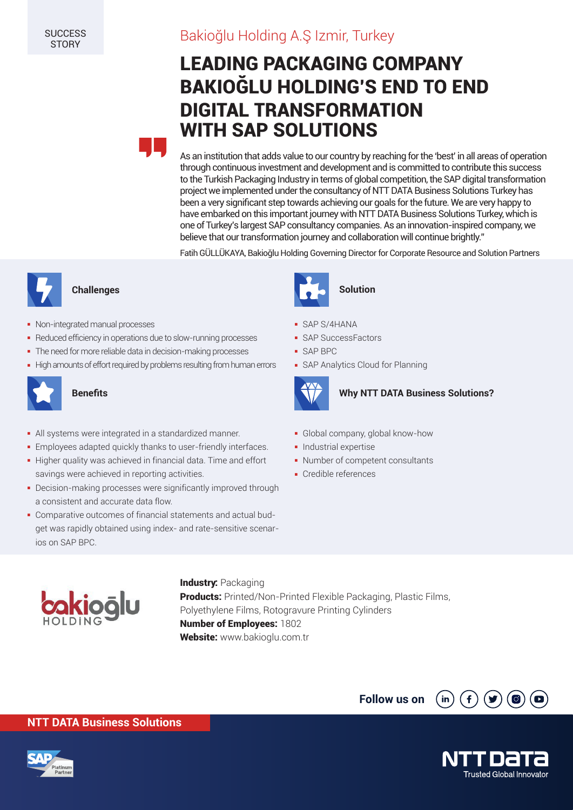# Bakioğlu Holding A.Ş Izmir, Turkey

# LEADING PACKAGING COMPANY BAKIOĞLU HOLDING'S END TO END DIGITAL TRANSFORMATION WITH SAP SOLUTIONS



As an institution that adds value to our country by reaching for the 'best' in all areas of operation through continuous investment and development and is committed to contribute this success to the Turkish Packaging Industry in terms of global competition, the SAP digital transformation project we implemented under the consultancy of NTT DATA Business Solutions Turkey has been a very significant step towards achieving our goals for the future. We are very happy to have embarked on this important journey with NTT DATA Business Solutions Turkey, which is one of Turkey's largest SAP consultancy companies. As an innovation-inspired company, we believe that our transformation journey and collaboration will continue brightly."

Fatih GÜLLÜKAYA, Bakioğlu Holding Governing Director for Corporate Resource and Solution Partners



- Non-integrated manual processes
- Reduced efficiency in operations due to slow-running processes
- The need for more reliable data in decision-making processes
- High amounts of effort required by problems resulting from human errors



- All systems were integrated in a standardized manner.
- Employees adapted quickly thanks to user-friendly interfaces.
- Higher quality was achieved in financial data. Time and effort savings were achieved in reporting activities.
- Decision-making processes were significantly improved through a consistent and accurate data flow.
- Comparative outcomes of financial statements and actual budget was rapidly obtained using index- and rate-sensitive scenarios on SAP BPC.



### SAP S/4HANA

- SAP SuccessFactors
- SAP BPC
- SAP Analytics Cloud for Planning



#### **Benefits Benefits Why NTT DATA Business Solutions?**

- Global company, global know-how
- **-** Industrial expertise
- Number of competent consultants
- Credible references



### **Industry: Packaging Products:** Printed/Non-Printed Flexible Packaging, Plastic Films, Polyethylene Films, Rotogravure Printing Cylinders Number of Employees: 1802 Website: www.bakioglu.com.tr





**NTT DATA Business Solutions**